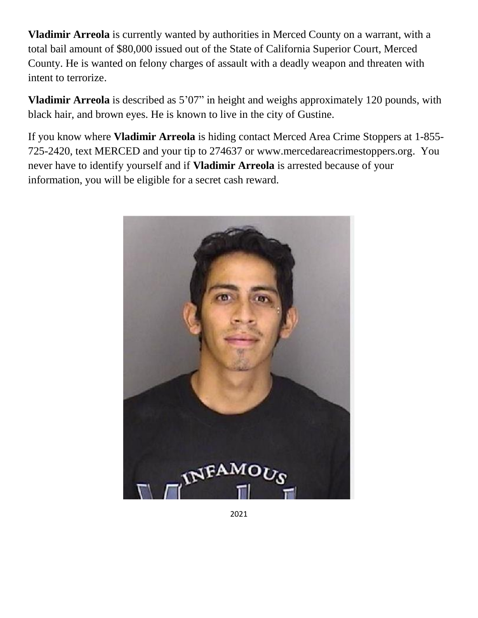**Vladimir Arreola** is currently wanted by authorities in Merced County on a warrant, with a total bail amount of \$80,000 issued out of the State of California Superior Court, Merced County. He is wanted on felony charges of assault with a deadly weapon and threaten with intent to terrorize.

**Vladimir Arreola** is described as 5'07" in height and weighs approximately 120 pounds, with black hair, and brown eyes. He is known to live in the city of Gustine.

If you know where **Vladimir Arreola** is hiding contact Merced Area Crime Stoppers at 1-855- 725-2420, text MERCED and your tip to 274637 or www.mercedareacrimestoppers.org. You never have to identify yourself and if **Vladimir Arreola** is arrested because of your information, you will be eligible for a secret cash reward.



2021